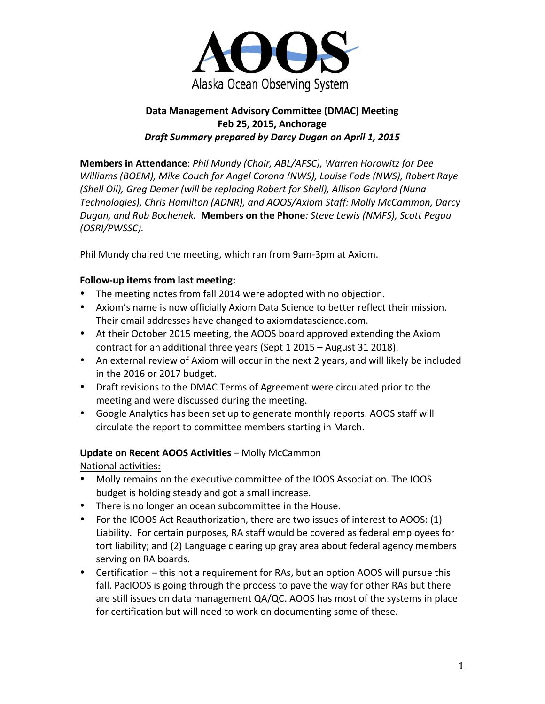

## Data Management Advisory Committee (DMAC) Meeting **Feb 25, 2015, Anchorage** *Draft Summary prepared by Darcy Dugan on April 1, 2015*

**Members in Attendance**: *Phil Mundy (Chair, ABL/AFSC), Warren Horowitz for Dee Williams* (BOEM), Mike Couch for Angel Corona (NWS), Louise Fode (NWS), Robert Raye *(Shell Oil), Greg Demer (will be replacing Robert for Shell), Allison Gaylord (Nuna* Technologies), Chris Hamilton (ADNR), and AOOS/Axiom Staff: Molly McCammon, Darcy **Dugan, and Rob Bochenek. Members on the Phone**: Steve Lewis (NMFS), Scott Pegau *(OSRI/PWSSC).*

Phil Mundy chaired the meeting, which ran from 9am-3pm at Axiom.

### **Follow-up items from last meeting:**

- The meeting notes from fall 2014 were adopted with no objection.
- Axiom's name is now officially Axiom Data Science to better reflect their mission. Their email addresses have changed to axiomdatascience.com.
- At their October 2015 meeting, the AOOS board approved extending the Axiom contract for an additional three years (Sept 1 2015 – August 31 2018).
- An external review of Axiom will occur in the next 2 years, and will likely be included in the 2016 or 2017 budget.
- Draft revisions to the DMAC Terms of Agreement were circulated prior to the meeting and were discussed during the meeting.
- Google Analytics has been set up to generate monthly reports. AOOS staff will circulate the report to committee members starting in March.

### **Update on Recent AOOS Activities** – Molly McCammon

National activities:

- Molly remains on the executive committee of the IOOS Association. The IOOS budget is holding steady and got a small increase.
- There is no longer an ocean subcommittee in the House.
- For the ICOOS Act Reauthorization, there are two issues of interest to AOOS: (1) Liability. For certain purposes, RA staff would be covered as federal employees for tort liability; and (2) Language clearing up gray area about federal agency members serving on RA boards.
- Certification this not a requirement for RAs, but an option AOOS will pursue this fall. PacIOOS is going through the process to pave the way for other RAs but there are still issues on data management QA/QC. AOOS has most of the systems in place for certification but will need to work on documenting some of these.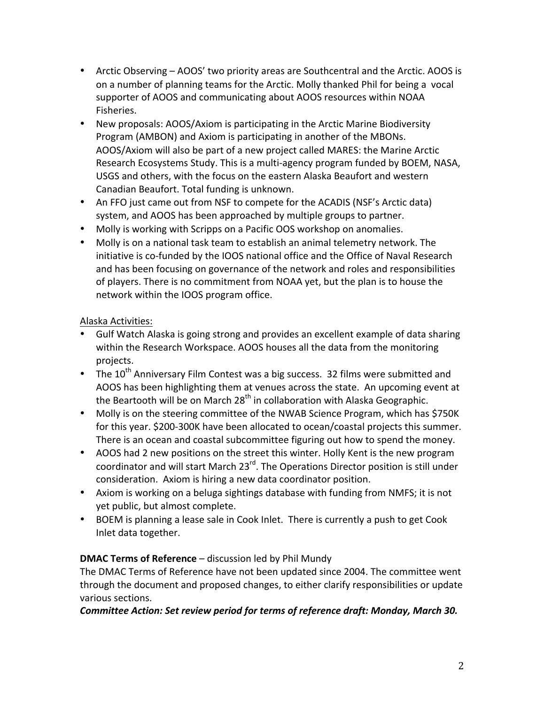- Arctic Observing AOOS' two priority areas are Southcentral and the Arctic. AOOS is on a number of planning teams for the Arctic. Molly thanked Phil for being a vocal supporter of AOOS and communicating about AOOS resources within NOAA Fisheries.
- New proposals: AOOS/Axiom is participating in the Arctic Marine Biodiversity Program (AMBON) and Axiom is participating in another of the MBONs. AOOS/Axiom will also be part of a new project called MARES: the Marine Arctic Research Ecosystems Study. This is a multi-agency program funded by BOEM, NASA, USGS and others, with the focus on the eastern Alaska Beaufort and western Canadian Beaufort. Total funding is unknown.
- An FFO just came out from NSF to compete for the ACADIS (NSF's Arctic data) system, and AOOS has been approached by multiple groups to partner.
- Molly is working with Scripps on a Pacific OOS workshop on anomalies.
- Molly is on a national task team to establish an animal telemetry network. The initiative is co-funded by the IOOS national office and the Office of Naval Research and has been focusing on governance of the network and roles and responsibilities of players. There is no commitment from NOAA yet, but the plan is to house the network within the IOOS program office.

### Alaska Activities:

- Gulf Watch Alaska is going strong and provides an excellent example of data sharing within the Research Workspace. AOOS houses all the data from the monitoring projects.
- The  $10^{th}$  Anniversary Film Contest was a big success. 32 films were submitted and AOOS has been highlighting them at venues across the state. An upcoming event at the Beartooth will be on March  $28<sup>th</sup>$  in collaboration with Alaska Geographic.
- Molly is on the steering committee of the NWAB Science Program, which has \$750K for this year. \$200-300K have been allocated to ocean/coastal projects this summer. There is an ocean and coastal subcommittee figuring out how to spend the money.
- AOOS had 2 new positions on the street this winter. Holly Kent is the new program coordinator and will start March 23<sup>rd</sup>. The Operations Director position is still under consideration. Axiom is hiring a new data coordinator position.
- Axiom is working on a beluga sightings database with funding from NMFS; it is not yet public, but almost complete.
- BOEM is planning a lease sale in Cook Inlet. There is currently a push to get Cook Inlet data together.

### **DMAC Terms of Reference** – discussion led by Phil Mundy

The DMAC Terms of Reference have not been updated since 2004. The committee went through the document and proposed changes, to either clarify responsibilities or update various sections.

### Committee Action: Set review period for terms of reference draft: Monday, March 30.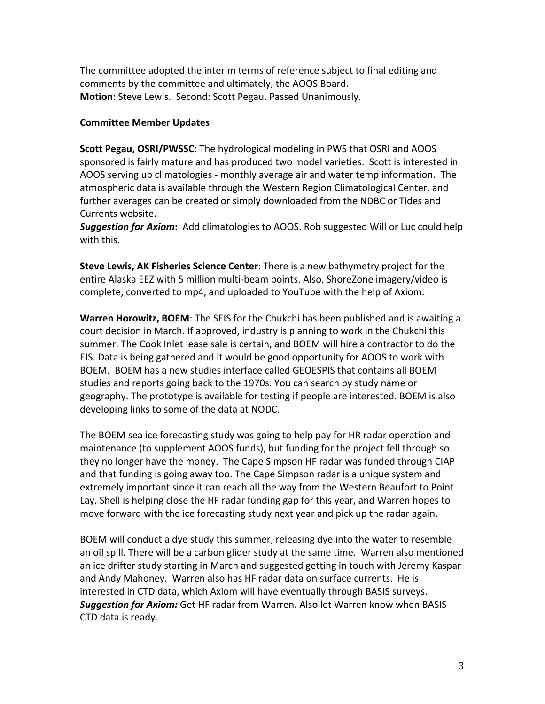The committee adopted the interim terms of reference subject to final editing and comments by the committee and ultimately, the AOOS Board. **Motion**: Steve Lewis. Second: Scott Pegau. Passed Unanimously.

#### **Committee Member Updates**

**Scott Pegau, OSRI/PWSSC:** The hydrological modeling in PWS that OSRI and AOOS sponsored is fairly mature and has produced two model varieties. Scott is interested in AOOS serving up climatologies - monthly average air and water temp information. The atmospheric data is available through the Western Region Climatological Center, and further averages can be created or simply downloaded from the NDBC or Tides and Currents website.

**Suggestion for Axiom:** Add climatologies to AOOS. Rob suggested Will or Luc could help with this.

**Steve Lewis, AK Fisheries Science Center**: There is a new bathymetry project for the entire Alaska EEZ with 5 million multi-beam points. Also, ShoreZone imagery/video is complete, converted to mp4, and uploaded to YouTube with the help of Axiom.

**Warren Horowitz, BOEM**: The SEIS for the Chukchi has been published and is awaiting a court decision in March. If approved, industry is planning to work in the Chukchi this summer. The Cook Inlet lease sale is certain, and BOEM will hire a contractor to do the EIS. Data is being gathered and it would be good opportunity for AOOS to work with BOEM. BOEM has a new studies interface called GEOESPIS that contains all BOEM studies and reports going back to the 1970s. You can search by study name or geography. The prototype is available for testing if people are interested. BOEM is also developing links to some of the data at NODC.

The BOEM sea ice forecasting study was going to help pay for HR radar operation and maintenance (to supplement AOOS funds), but funding for the project fell through so they no longer have the money. The Cape Simpson HF radar was funded through CIAP and that funding is going away too. The Cape Simpson radar is a unique system and extremely important since it can reach all the way from the Western Beaufort to Point Lay. Shell is helping close the HF radar funding gap for this year, and Warren hopes to move forward with the ice forecasting study next year and pick up the radar again.

BOEM will conduct a dye study this summer, releasing dye into the water to resemble an oil spill. There will be a carbon glider study at the same time. Warren also mentioned an ice drifter study starting in March and suggested getting in touch with Jeremy Kaspar and Andy Mahoney. Warren also has HF radar data on surface currents. He is interested in CTD data, which Axiom will have eventually through BASIS surveys. **Suggestion for Axiom:** Get HF radar from Warren. Also let Warren know when BASIS CTD data is ready.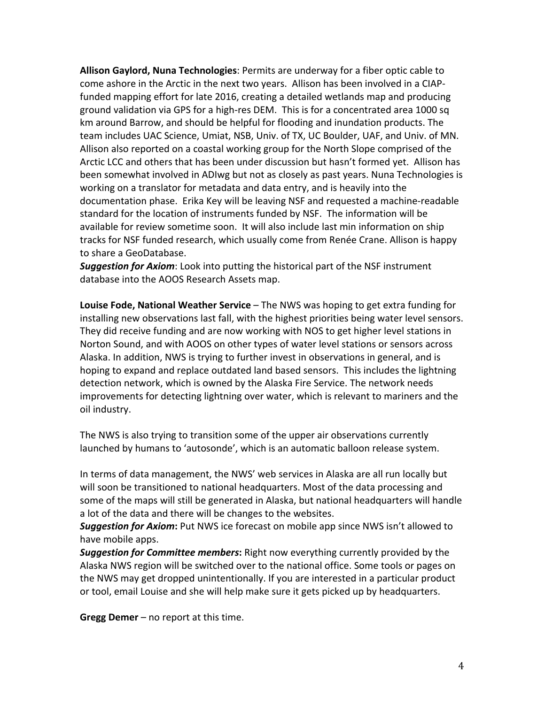**Allison Gaylord, Nuna Technologies**: Permits are underway for a fiber optic cable to come ashore in the Arctic in the next two years. Allison has been involved in a CIAPfunded mapping effort for late 2016, creating a detailed wetlands map and producing ground validation via GPS for a high-res DEM. This is for a concentrated area 1000 sq km around Barrow, and should be helpful for flooding and inundation products. The team includes UAC Science, Umiat, NSB, Univ. of TX, UC Boulder, UAF, and Univ. of MN. Allison also reported on a coastal working group for the North Slope comprised of the Arctic LCC and others that has been under discussion but hasn't formed yet. Allison has been somewhat involved in ADIwg but not as closely as past years. Nuna Technologies is working on a translator for metadata and data entry, and is heavily into the documentation phase. Erika Key will be leaving NSF and requested a machine-readable standard for the location of instruments funded by NSF. The information will be available for review sometime soon. It will also include last min information on ship tracks for NSF funded research, which usually come from Renée Crane. Allison is happy to share a GeoDatabase.

**Suggestion for Axiom**: Look into putting the historical part of the NSF instrument database into the AOOS Research Assets map.

**Louise Fode, National Weather Service** – The NWS was hoping to get extra funding for installing new observations last fall, with the highest priorities being water level sensors. They did receive funding and are now working with NOS to get higher level stations in Norton Sound, and with AOOS on other types of water level stations or sensors across Alaska. In addition, NWS is trying to further invest in observations in general, and is hoping to expand and replace outdated land based sensors. This includes the lightning detection network, which is owned by the Alaska Fire Service. The network needs improvements for detecting lightning over water, which is relevant to mariners and the oil industry.

The NWS is also trying to transition some of the upper air observations currently launched by humans to 'autosonde', which is an automatic balloon release system.

In terms of data management, the NWS' web services in Alaska are all run locally but will soon be transitioned to national headquarters. Most of the data processing and some of the maps will still be generated in Alaska, but national headquarters will handle a lot of the data and there will be changes to the websites.

**Suggestion for Axiom:** Put NWS ice forecast on mobile app since NWS isn't allowed to have mobile apps.

**Suggestion for Committee members:** Right now everything currently provided by the Alaska NWS region will be switched over to the national office. Some tools or pages on the NWS may get dropped unintentionally. If you are interested in a particular product or tool, email Louise and she will help make sure it gets picked up by headquarters.

**Gregg Demer** – no report at this time.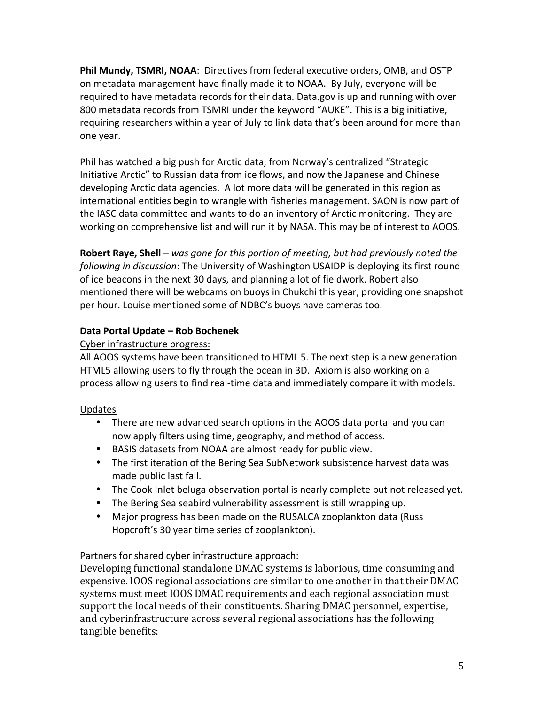**Phil Mundy, TSMRI, NOAA**: Directives from federal executive orders, OMB, and OSTP on metadata management have finally made it to NOAA. By July, everyone will be required to have metadata records for their data. Data.gov is up and running with over 800 metadata records from TSMRI under the keyword "AUKE". This is a big initiative, requiring researchers within a year of July to link data that's been around for more than one year.

Phil has watched a big push for Arctic data, from Norway's centralized "Strategic Initiative Arctic" to Russian data from ice flows, and now the Japanese and Chinese developing Arctic data agencies. A lot more data will be generated in this region as international entities begin to wrangle with fisheries management. SAON is now part of the IASC data committee and wants to do an inventory of Arctic monitoring. They are working on comprehensive list and will run it by NASA. This may be of interest to AOOS.

**Robert Raye, Shell** – was gone for this portion of meeting, but had previously noted the *following in discussion*: The University of Washington USAIDP is deploying its first round of ice beacons in the next 30 days, and planning a lot of fieldwork. Robert also mentioned there will be webcams on buoys in Chukchi this year, providing one snapshot per hour. Louise mentioned some of NDBC's buoys have cameras too.

## **Data Portal Update – Rob Bochenek**

### Cyber infrastructure progress:

All AOOS systems have been transitioned to HTML 5. The next step is a new generation HTML5 allowing users to fly through the ocean in 3D. Axiom is also working on a process allowing users to find real-time data and immediately compare it with models.

### Updates

- There are new advanced search options in the AOOS data portal and you can now apply filters using time, geography, and method of access.
- BASIS datasets from NOAA are almost ready for public view.
- The first iteration of the Bering Sea SubNetwork subsistence harvest data was made public last fall.
- The Cook Inlet beluga observation portal is nearly complete but not released yet.
- The Bering Sea seabird vulnerability assessment is still wrapping up.
- Major progress has been made on the RUSALCA zooplankton data (Russ) Hopcroft's 30 year time series of zooplankton).

### Partners for shared cyber infrastructure approach:

Developing functional standalone DMAC systems is laborious, time consuming and expensive. IOOS regional associations are similar to one another in that their DMAC systems must meet IOOS DMAC requirements and each regional association must support the local needs of their constituents. Sharing DMAC personnel, expertise, and cyberinfrastructure across several regional associations has the following tangible benefits: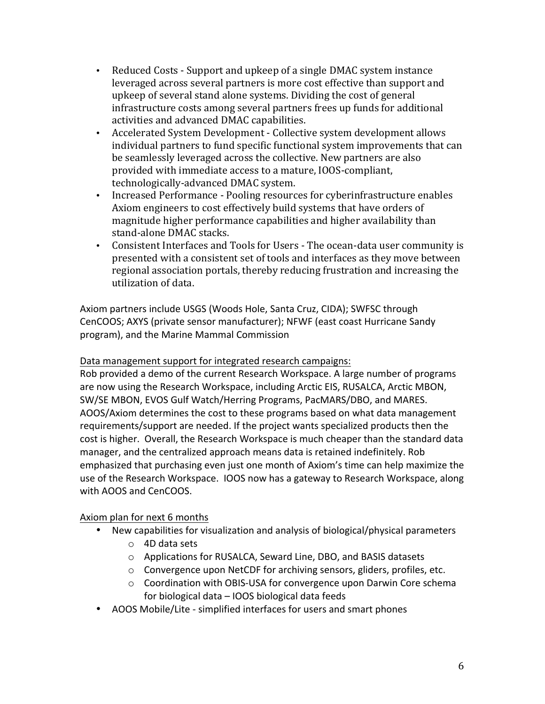- Reduced Costs Support and upkeep of a single DMAC system instance leveraged across several partners is more cost effective than support and upkeep of several stand alone systems. Dividing the cost of general infrastructure costs among several partners frees up funds for additional activities and advanced DMAC capabilities.
- Accelerated System Development Collective system development allows individual partners to fund specific functional system improvements that can be seamlessly leveraged across the collective. New partners are also provided with immediate access to a mature, IOOS-compliant, technologically-advanced DMAC system.
- Increased Performance Pooling resources for cyberinfrastructure enables Axiom engineers to cost effectively build systems that have orders of magnitude higher performance capabilities and higher availability than stand-alone DMAC stacks.
- Consistent Interfaces and Tools for Users The ocean-data user community is presented with a consistent set of tools and interfaces as they move between regional association portals, thereby reducing frustration and increasing the utilization of data.

Axiom partners include USGS (Woods Hole, Santa Cruz, CIDA); SWFSC through CenCOOS; AXYS (private sensor manufacturer); NFWF (east coast Hurricane Sandy program), and the Marine Mammal Commission

Data management support for integrated research campaigns:

Rob provided a demo of the current Research Workspace. A large number of programs are now using the Research Workspace, including Arctic EIS, RUSALCA, Arctic MBON, SW/SE MBON, EVOS Gulf Watch/Herring Programs, PacMARS/DBO, and MARES. AOOS/Axiom determines the cost to these programs based on what data management requirements/support are needed. If the project wants specialized products then the cost is higher. Overall, the Research Workspace is much cheaper than the standard data manager, and the centralized approach means data is retained indefinitely. Rob emphasized that purchasing even just one month of Axiom's time can help maximize the use of the Research Workspace. IOOS now has a gateway to Research Workspace, along with AOOS and CenCOOS.

# Axiom plan for next 6 months

- New capabilities for visualization and analysis of biological/physical parameters
	- $\circ$  4D data sets
	- o Applications for RUSALCA, Seward Line, DBO, and BASIS datasets
	- $\circ$  Convergence upon NetCDF for archiving sensors, gliders, profiles, etc.
	- o Coordination with OBIS-USA for convergence upon Darwin Core schema for biological  $data -$  IOOS biological data feeds
- AOOS Mobile/Lite simplified interfaces for users and smart phones